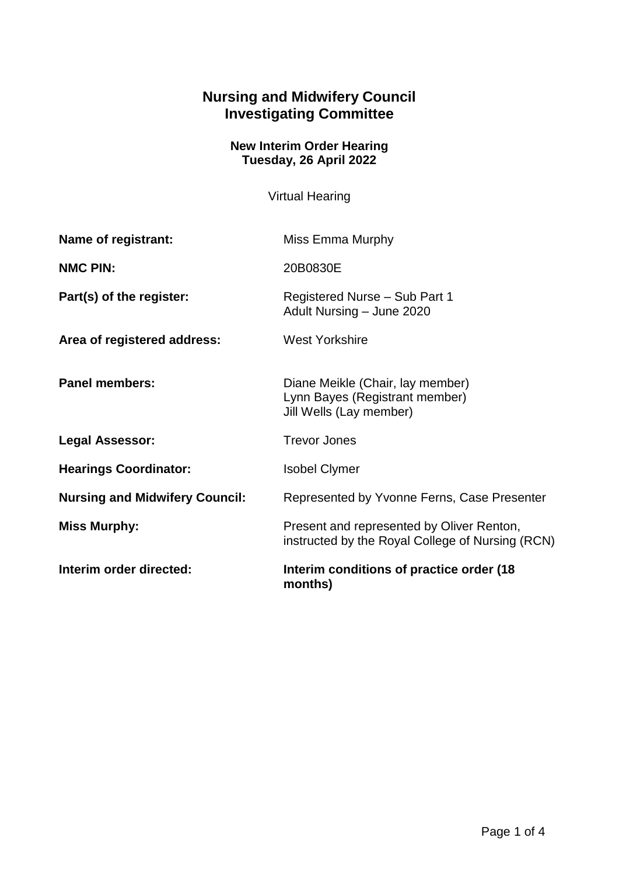## **Nursing and Midwifery Council Investigating Committee**

## **New Interim Order Hearing Tuesday, 26 April 2022**

Virtual Hearing

| Name of registrant:                   | Miss Emma Murphy                                                                              |
|---------------------------------------|-----------------------------------------------------------------------------------------------|
| <b>NMC PIN:</b>                       | 20B0830E                                                                                      |
| Part(s) of the register:              | Registered Nurse - Sub Part 1<br>Adult Nursing - June 2020                                    |
| Area of registered address:           | <b>West Yorkshire</b>                                                                         |
| <b>Panel members:</b>                 | Diane Meikle (Chair, lay member)<br>Lynn Bayes (Registrant member)<br>Jill Wells (Lay member) |
| <b>Legal Assessor:</b>                | <b>Trevor Jones</b>                                                                           |
| <b>Hearings Coordinator:</b>          | <b>Isobel Clymer</b>                                                                          |
| <b>Nursing and Midwifery Council:</b> | Represented by Yvonne Ferns, Case Presenter                                                   |
| <b>Miss Murphy:</b>                   | Present and represented by Oliver Renton,<br>instructed by the Royal College of Nursing (RCN) |
| Interim order directed:               | Interim conditions of practice order (18)<br>months)                                          |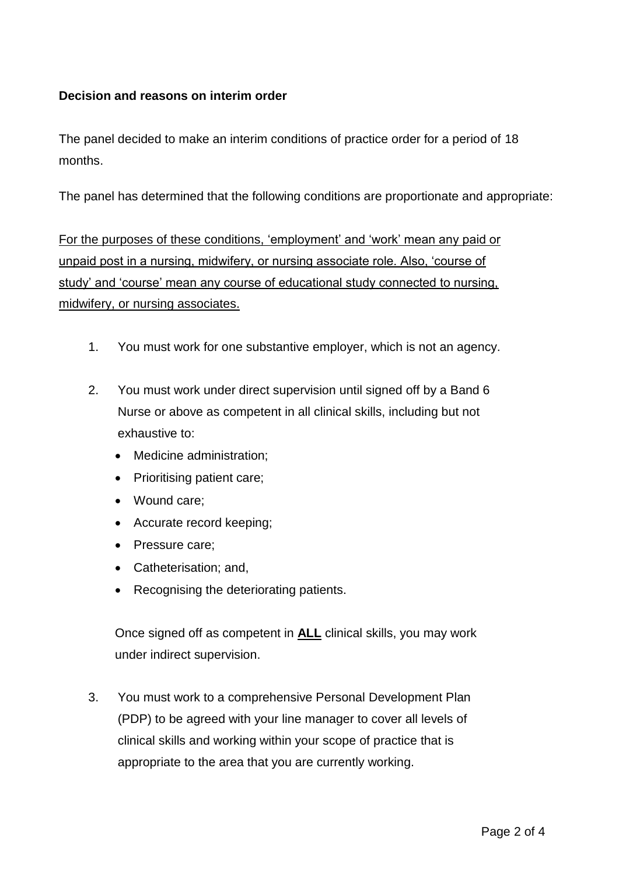## **Decision and reasons on interim order**

The panel decided to make an interim conditions of practice order for a period of 18 months.

The panel has determined that the following conditions are proportionate and appropriate:

For the purposes of these conditions, 'employment' and 'work' mean any paid or unpaid post in a nursing, midwifery, or nursing associate role. Also, 'course of study' and 'course' mean any course of educational study connected to nursing, midwifery, or nursing associates.

- 1. You must work for one substantive employer, which is not an agency.
- 2. You must work under direct supervision until signed off by a Band 6 Nurse or above as competent in all clinical skills, including but not exhaustive to:
	- Medicine administration;
	- Prioritising patient care:
	- Wound care;
	- Accurate record keeping;
	- Pressure care;
	- Catheterisation; and,
	- Recognising the deteriorating patients.

Once signed off as competent in **ALL** clinical skills, you may work under indirect supervision.

3. You must work to a comprehensive Personal Development Plan (PDP) to be agreed with your line manager to cover all levels of clinical skills and working within your scope of practice that is appropriate to the area that you are currently working.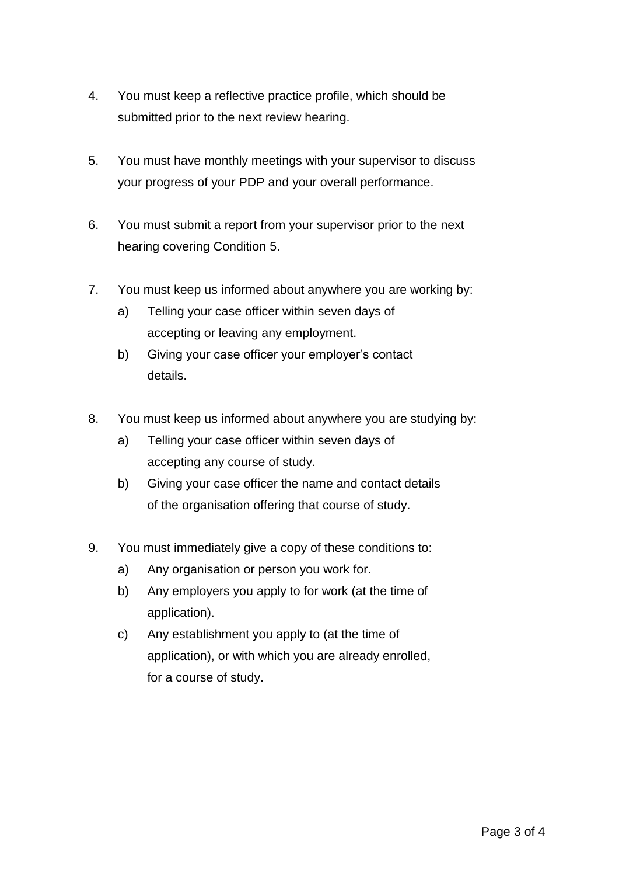- 4. You must keep a reflective practice profile, which should be submitted prior to the next review hearing.
- 5. You must have monthly meetings with your supervisor to discuss your progress of your PDP and your overall performance.
- 6. You must submit a report from your supervisor prior to the next hearing covering Condition 5.
- 7. You must keep us informed about anywhere you are working by:
	- a) Telling your case officer within seven days of accepting or leaving any employment.
	- b) Giving your case officer your employer's contact details.
- 8. You must keep us informed about anywhere you are studying by:
	- a) Telling your case officer within seven days of accepting any course of study.
	- b) Giving your case officer the name and contact details of the organisation offering that course of study.
- 9. You must immediately give a copy of these conditions to:
	- a) Any organisation or person you work for.
	- b) Any employers you apply to for work (at the time of application).
	- c) Any establishment you apply to (at the time of application), or with which you are already enrolled, for a course of study.